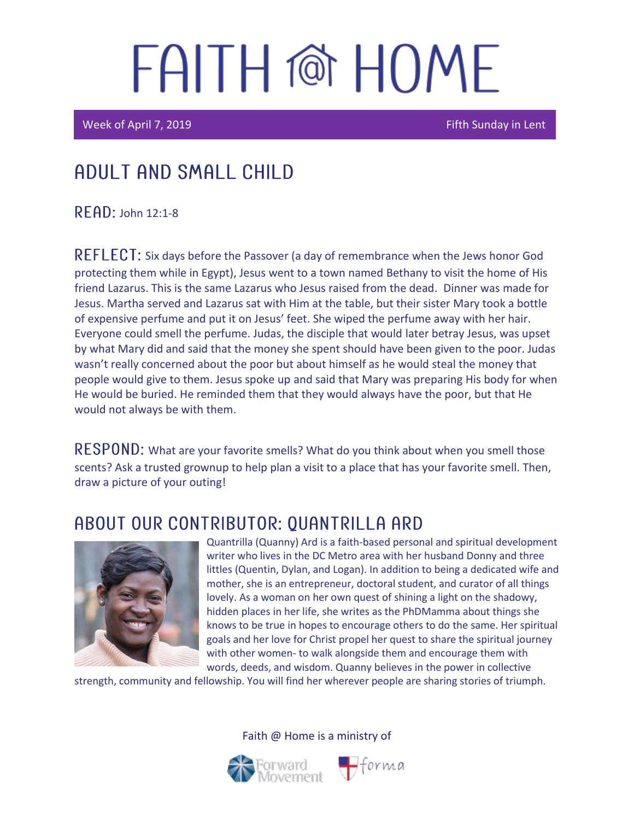Week of April 7, 2019 **Figure 2019** Fifth Sunday in Lent

### Adult and Small Child

 $R$  $F$  $AD$ : John 12:1-8

REFLECT: Six days before the Passover (a day of remembrance when the Jews honor God protecting them while in Egypt), Jesus went to a town named Bethany to visit the home of His friend Lazarus. This is the same Lazarus who Jesus raised from the dead. Dinner was made for Jesus. Martha served and Lazarus sat with Him at the table, but their sister Mary took a bottle of expensive perfume and put it on Jesus' feet. She wiped the perfume away with her hair. Everyone could smell the perfume. Judas, the disciple that would later betray Jesus, was upset by what Mary did and said that the money she spent should have been given to the poor. Judas wasn't really concerned about the poor but about himself as he would steal the money that people would give to them. Jesus spoke up and said that Mary was preparing His body for when He would be buried. He reminded them that they would always have the poor, but that He would not always be with them.

RESPOND: What are your favorite smells? What do you think about when you smell those scents? Ask a trusted grownup to help plan a visit to a place that has your favorite smell. Then, draw a picture of your outing!

### ABOUT OUR CONTRIBUTOR: OUANTRILLA ARD



Quantrilla (Quanny) Ard is a faith-based personal and spiritual development writer who lives in the DC Metro area with her husband Donny and three littles (Quentin, Dylan, and Logan). In addition to being a dedicated wife and mother, she is an entrepreneur, doctoral student, and curator of all things lovely. As a woman on her own quest of shining a light on the shadowy, hidden places in her life, she writes as the PhDMamma about things she knows to be true in hopes to encourage others to do the same. Her spiritual goals and her love for Christ propel her quest to share the spiritual journey with other women- to walk alongside them and encourage them with words, deeds, and wisdom. Quanny believes in the power in collective

strength, community and fellowship. You will find her wherever people are sharing stories of triumph.



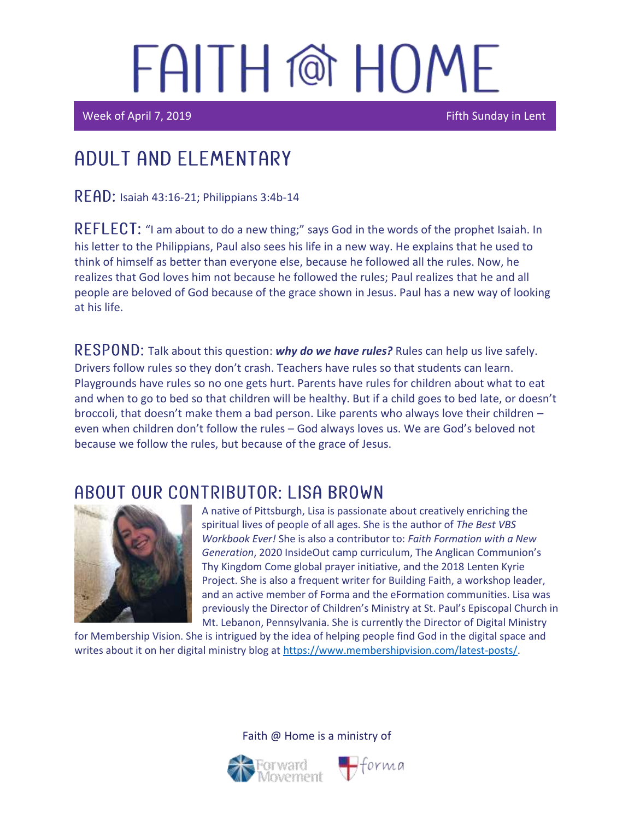Week of April 7, 2019 **Fifth Sunday in Lent** 

i<br>I

I

### Adult and elementary

 $READ:$  Isaiah 43:16-21; Philippians 3:4b-14

REFLECT: "I am about to do a new thing;" says God in the words of the prophet Isaiah. In his letter to the Philippians, Paul also sees his life in a new way. He explains that he used to think of himself as better than everyone else, because he followed all the rules. Now, he realizes that God loves him not because he followed the rules; Paul realizes that he and all people are beloved of God because of the grace shown in Jesus. Paul has a new way of looking at his life.

RESPOND: Talk about this question: **why do we have rules?** Rules can help us live safely. Drivers follow rules so they don't crash. Teachers have rules so that students can learn. Playgrounds have rules so no one gets hurt. Parents have rules for children about what to eat and when to go to bed so that children will be healthy. But if a child goes to bed late, or doesn't broccoli, that doesn't make them a bad person. Like parents who always love their children – even when children don't follow the rules – God always loves us. We are God's beloved not because we follow the rules, but because of the grace of Jesus.

### ABOUT OUR CONTRIBUTOR: LISA BROWN



A native of Pittsburgh, Lisa is passionate about creatively enriching the spiritual lives of people of all ages. She is the author of *The Best VBS Workbook Ever!* She is also a contributor to: *Faith Formation with a New Generation*, 2020 InsideOut camp curriculum, The Anglican Communion's Thy Kingdom Come global prayer initiative, and the 2018 Lenten Kyrie Project. She is also a frequent writer for Building Faith, a workshop leader, and an active member of Forma and the eFormation communities. Lisa was previously the Director of Children's Ministry at St. Paul's Episcopal Church in Mt. Lebanon, Pennsylvania. She is currently the Director of Digital Ministry

 $\bigoplus$ forma

for Membership Vision. She is intrigued by the idea of helping people find God in the digital space and writes about it on her digital ministry blog at [https://www.membershipvision.com/latest-posts/.](https://www.membershipvision.com/latest-posts/)

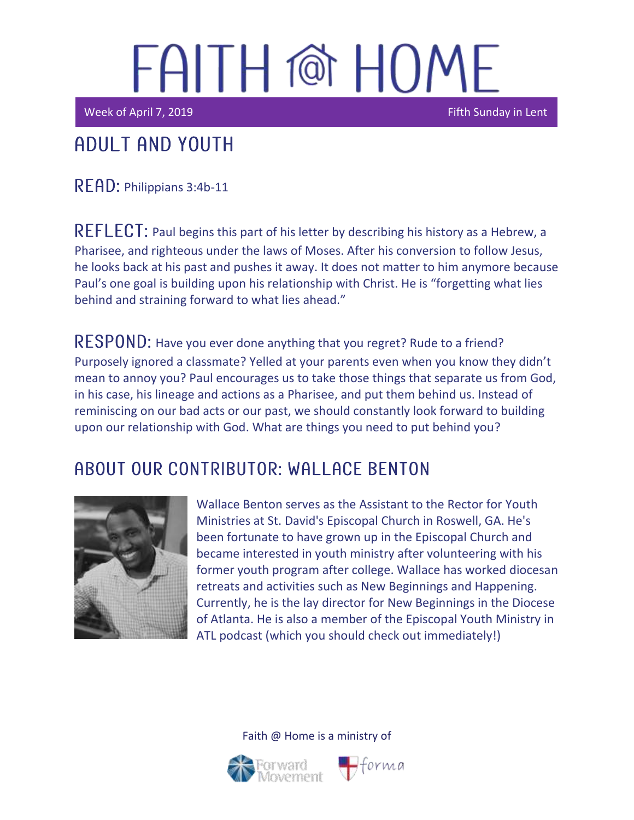Week of April 7, 2019 Fifth Sunday in Lent

## Adult and youth

READ: Philippians 3:4b-11

 $REFLECT$ : Paul begins this part of his letter by describing his history as a Hebrew, a Pharisee, and righteous under the laws of Moses. After his conversion to follow Jesus, he looks back at his past and pushes it away. It does not matter to him anymore because Paul's one goal is building upon his relationship with Christ. He is "forgetting what lies behind and straining forward to what lies ahead."

RESPOND: Have you ever done anything that you regret? Rude to a friend? Purposely ignored a classmate? Yelled at your parents even when you know they didn't mean to annoy you? Paul encourages us to take those things that separate us from God, in his case, his lineage and actions as a Pharisee, and put them behind us. Instead of reminiscing on our bad acts or our past, we should constantly look forward to building upon our relationship with God. What are things you need to put behind you?

### A BOUT OUR CONTRIBUTOR: WALL ACE BENTON



Wallace Benton serves as the Assistant to the Rector for Youth Ministries at St. David's Episcopal Church in Roswell, GA. He's been fortunate to have grown up in the Episcopal Church and became interested in youth ministry after volunteering with his former youth program after college. Wallace has worked diocesan retreats and activities such as New Beginnings and Happening. Currently, he is the lay director for New Beginnings in the Diocese of Atlanta. He is also a member of the Episcopal Youth Ministry in ATL podcast (which you should check out immediately!)